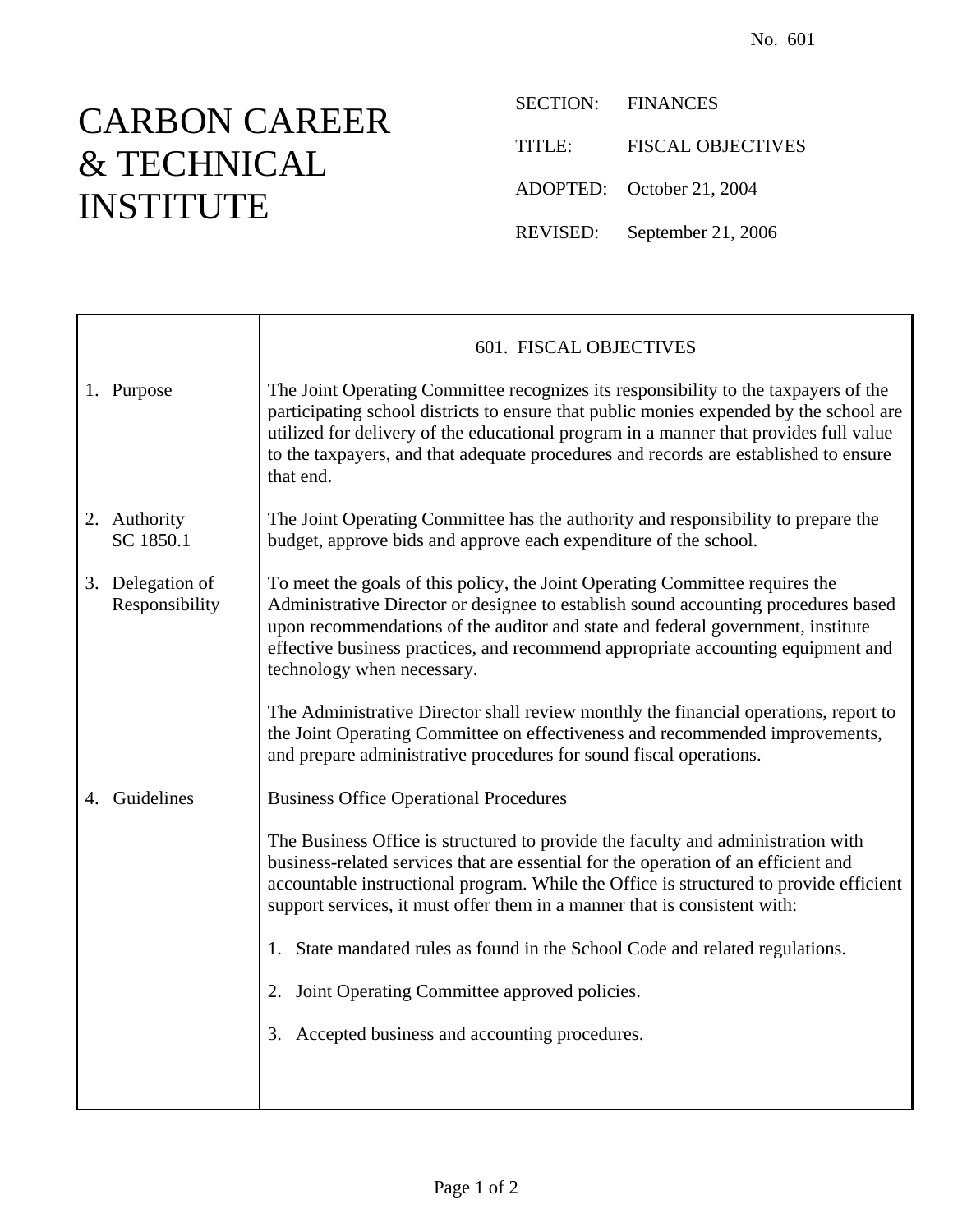## CARBON CAREER & TECHNICAL INSTITUTE

SECTION: FINANCES TITLE: FISCAL OBJECTIVES ADOPTED: October 21, 2004 REVISED: September 21, 2006

|                                    | 601. FISCAL OBJECTIVES                                                                                                                                                                                                                                                                                                                                                      |
|------------------------------------|-----------------------------------------------------------------------------------------------------------------------------------------------------------------------------------------------------------------------------------------------------------------------------------------------------------------------------------------------------------------------------|
| 1. Purpose                         | The Joint Operating Committee recognizes its responsibility to the taxpayers of the<br>participating school districts to ensure that public monies expended by the school are<br>utilized for delivery of the educational program in a manner that provides full value<br>to the taxpayers, and that adequate procedures and records are established to ensure<br>that end. |
| 2. Authority<br>SC 1850.1          | The Joint Operating Committee has the authority and responsibility to prepare the<br>budget, approve bids and approve each expenditure of the school.                                                                                                                                                                                                                       |
| 3. Delegation of<br>Responsibility | To meet the goals of this policy, the Joint Operating Committee requires the<br>Administrative Director or designee to establish sound accounting procedures based<br>upon recommendations of the auditor and state and federal government, institute<br>effective business practices, and recommend appropriate accounting equipment and<br>technology when necessary.     |
|                                    | The Administrative Director shall review monthly the financial operations, report to<br>the Joint Operating Committee on effectiveness and recommended improvements,<br>and prepare administrative procedures for sound fiscal operations.                                                                                                                                  |
| 4. Guidelines                      | <b>Business Office Operational Procedures</b>                                                                                                                                                                                                                                                                                                                               |
|                                    | The Business Office is structured to provide the faculty and administration with<br>business-related services that are essential for the operation of an efficient and<br>accountable instructional program. While the Office is structured to provide efficient<br>support services, it must offer them in a manner that is consistent with:                               |
|                                    | 1. State mandated rules as found in the School Code and related regulations.                                                                                                                                                                                                                                                                                                |
|                                    | Joint Operating Committee approved policies.<br>2.                                                                                                                                                                                                                                                                                                                          |
|                                    | 3. Accepted business and accounting procedures.                                                                                                                                                                                                                                                                                                                             |
|                                    |                                                                                                                                                                                                                                                                                                                                                                             |